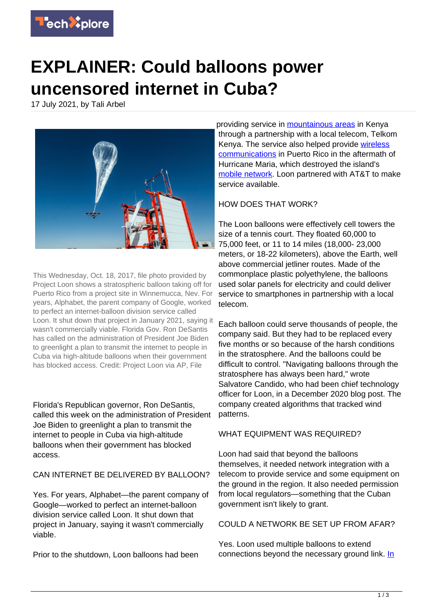

# **EXPLAINER: Could balloons power uncensored internet in Cuba?**

17 July 2021, by Tali Arbel



This Wednesday, Oct. 18, 2017, file photo provided by Project Loon shows a stratospheric balloon taking off for Puerto Rico from a project site in Winnemucca, Nev. For years, Alphabet, the parent company of Google, worked to perfect an internet-balloon division service called Loon. It shut down that project in January 2021, saying it wasn't commercially viable. Florida Gov. Ron DeSantis has called on the administration of President Joe Biden to greenlight a plan to transmit the internet to people in Cuba via high-altitude balloons when their government has blocked access. Credit: Project Loon via AP, File

Florida's Republican governor, Ron DeSantis, called this week on the administration of President Joe Biden to greenlight a plan to transmit the internet to people in Cuba via high-altitude balloons when their government has blocked access.

### CAN INTERNET BE DELIVERED BY BALLOON?

Yes. For years, Alphabet—the parent company of Google—worked to perfect an internet-balloon division service called Loon. It shut down that project in January, saying it wasn't commercially viable.

Prior to the shutdown, Loon balloons had been

providing service in [mountainous areas](https://techxplore.com/tags/mountainous+areas/) in Kenya through a partnership with a local telecom, Telkom Kenya. The service also helped provide [wireless](https://techxplore.com/tags/wireless+communications/) [communications](https://techxplore.com/tags/wireless+communications/) in Puerto Rico in the aftermath of Hurricane Maria, which destroyed the island's [mobile network](https://techxplore.com/tags/mobile+network/). Loon partnered with AT&T to make service available.

## HOW DOES THAT WORK?

The Loon balloons were effectively cell towers the size of a tennis court. They floated 60,000 to 75,000 feet, or 11 to 14 miles (18,000- 23,000 meters, or 18-22 kilometers), above the Earth, well above commercial jetliner routes. Made of the commonplace plastic polyethylene, the balloons used solar panels for electricity and could deliver service to smartphones in partnership with a local telecom.

Each balloon could serve thousands of people, the company said. But they had to be replaced every five months or so because of the harsh conditions in the stratosphere. And the balloons could be difficult to control. "Navigating balloons through the stratosphere has always been hard," wrote Salvatore Candido, who had been chief technology officer for Loon, in a December 2020 blog post. The company created algorithms that tracked wind patterns.

# WHAT EQUIPMENT WAS REQUIRED?

Loon had said that beyond the balloons themselves, it needed network integration with a telecom to provide service and some equipment on the ground in the region. It also needed permission from local regulators—something that the Cuban government isn't likely to grant.

## COULD A NETWORK BE SET UP FROM AFAR?

Yes. Loon used multiple balloons to extend connections beyond the necessary ground link. [In](https://medium.com/loon-for-all/1-connection-7-balloons-1-000-kilometers-74da60b9e283)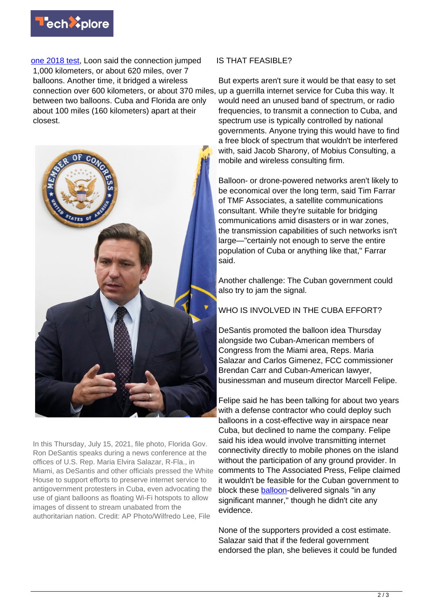

[one 2018 test](https://medium.com/loon-for-all/1-connection-7-balloons-1-000-kilometers-74da60b9e283), Loon said the connection jumped 1,000 kilometers, or about 620 miles, over 7 balloons. Another time, it bridged a wireless connection over 600 kilometers, or about 370 miles, up a guerrilla internet service for Cuba this way. It between two balloons. Cuba and Florida are only about 100 miles (160 kilometers) apart at their closest.



In this Thursday, July 15, 2021, file photo, Florida Gov. Ron DeSantis speaks during a news conference at the offices of U.S. Rep. Maria Elvira Salazar, R-Fla., in Miami, as DeSantis and other officials pressed the White House to support efforts to preserve internet service to antigovernment protesters in Cuba, even advocating the use of giant balloons as floating Wi-Fi hotspots to allow images of dissent to stream unabated from the authoritarian nation. Credit: AP Photo/Wilfredo Lee, File

### IS THAT FEASIBLE?

But experts aren't sure it would be that easy to set would need an unused band of spectrum, or radio frequencies, to transmit a connection to Cuba, and spectrum use is typically controlled by national governments. Anyone trying this would have to find a free block of spectrum that wouldn't be interfered with, said Jacob Sharony, of Mobius Consulting, a mobile and wireless consulting firm.

Balloon- or drone-powered networks aren't likely to be economical over the long term, said Tim Farrar of TMF Associates, a satellite communications consultant. While they're suitable for bridging communications amid disasters or in war zones, the transmission capabilities of such networks isn't large—"certainly not enough to serve the entire population of Cuba or anything like that," Farrar said.

Another challenge: The Cuban government could also try to jam the signal.

## WHO IS INVOLVED IN THE CUBA EFFORT?

DeSantis promoted the balloon idea Thursday alongside two Cuban-American members of Congress from the Miami area, Reps. Maria Salazar and Carlos Gimenez, FCC commissioner Brendan Carr and Cuban-American lawyer, businessman and museum director Marcell Felipe.

Felipe said he has been talking for about two years with a defense contractor who could deploy such balloons in a cost-effective way in airspace near Cuba, but declined to name the company. Felipe said his idea would involve transmitting internet connectivity directly to mobile phones on the island without the participation of any ground provider. In comments to The Associated Press, Felipe claimed it wouldn't be feasible for the Cuban government to block these [balloon-](https://techxplore.com/tags/balloon/)delivered signals "in any significant manner,'' though he didn't cite any evidence.

None of the supporters provided a cost estimate. Salazar said that if the federal government endorsed the plan, she believes it could be funded